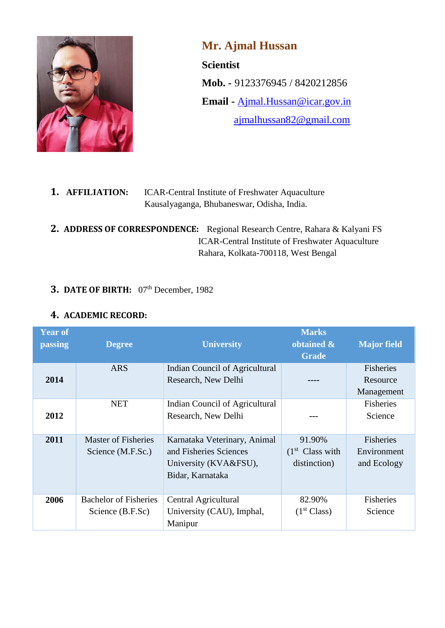

**Mr. Ajmal Hussan Scientist Mob. -** 9123376945 / 8420212856 **Email -** [Ajmal.Hussan@icar.gov.in](mailto:Ajmal.Hussan@icar.gov.in) [ajmalhussan82@gmail.com](mailto:ajmalhussan82@gmail.com)

| 1. AFFILIATION: | <b>ICAR-Central Institute of Freshwater Aquaculture</b> |  |
|-----------------|---------------------------------------------------------|--|
|                 | Kausalyaganga, Bhubaneswar, Odisha, India.              |  |

**2. ADDRESS OF CORRESPONDENCE:** Regional Research Centre, Rahara & Kalyani FS ICAR-Central Institute of Freshwater Aquaculture Rahara, Kolkata-700118, West Bengal

## **3. DATE OF BIRTH:** 07<sup>th</sup> December, 1982

## **4. ACADEMIC RECORD:**

| <b>Year of</b> |                              |                                | <b>Marks</b>                |                    |
|----------------|------------------------------|--------------------------------|-----------------------------|--------------------|
| passing        | <b>Degree</b>                | <b>University</b>              | obtained &                  | <b>Major field</b> |
|                |                              |                                | <b>Grade</b>                |                    |
|                | <b>ARS</b>                   | Indian Council of Agricultural |                             | Fisheries          |
| 2014           |                              | Research, New Delhi            |                             | Resource           |
|                |                              |                                |                             | Management         |
|                | <b>NET</b>                   | Indian Council of Agricultural |                             | <b>Fisheries</b>   |
| 2012           |                              | Research, New Delhi            |                             | Science            |
|                |                              |                                |                             |                    |
| 2011           | <b>Master of Fisheries</b>   | Karnataka Veterinary, Animal   | 91.90%                      | Fisheries          |
|                | Science (M.F.Sc.)            | and Fisheries Sciences         | (1 <sup>st</sup> Class with | Environment        |
|                |                              | University (KVA&FSU),          | distinction)                | and Ecology        |
|                |                              | Bidar, Karnataka               |                             |                    |
|                |                              |                                |                             |                    |
| 2006           | <b>Bachelor of Fisheries</b> | Central Agricultural           | 82.90%                      | Fisheries          |
|                | Science (B.F.Sc)             | University (CAU), Imphal,      | (1 <sup>st</sup> Class)     | Science            |
|                |                              | Manipur                        |                             |                    |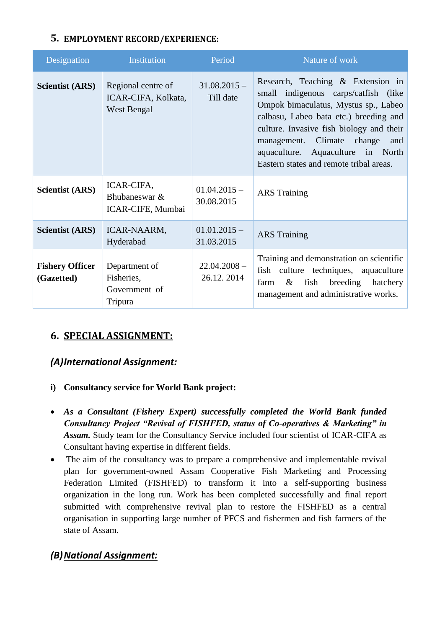## **5. EMPLOYMENT RECORD/EXPERIENCE:**

| Designation                          | Institution                                              | Period                       | Nature of work                                                                                                                                                                                                                                                                                                               |
|--------------------------------------|----------------------------------------------------------|------------------------------|------------------------------------------------------------------------------------------------------------------------------------------------------------------------------------------------------------------------------------------------------------------------------------------------------------------------------|
| <b>Scientist (ARS)</b>               | Regional centre of<br>ICAR-CIFA, Kolkata,<br>West Bengal | $31.08.2015 -$<br>Till date  | Research, Teaching & Extension in<br>small indigenous carps/catfish (like<br>Ompok bimaculatus, Mystus sp., Labeo<br>calbasu, Labeo bata etc.) breeding and<br>culture. Invasive fish biology and their<br>management. Climate change<br>and<br>aquaculture. Aquaculture in North<br>Eastern states and remote tribal areas. |
| <b>Scientist (ARS)</b>               | ICAR-CIFA,<br>Bhubaneswar &<br>ICAR-CIFE, Mumbai         | $01.04.2015 -$<br>30.08.2015 | <b>ARS</b> Training                                                                                                                                                                                                                                                                                                          |
| <b>Scientist (ARS)</b>               | ICAR-NAARM,<br>Hyderabad                                 | $01.01.2015 -$<br>31.03.2015 | <b>ARS</b> Training                                                                                                                                                                                                                                                                                                          |
| <b>Fishery Officer</b><br>(Gazetted) | Department of<br>Fisheries,<br>Government of<br>Tripura  | $22.04.2008 -$<br>26.12.2014 | Training and demonstration on scientific<br>fish culture techniques, aquaculture<br>fish breeding hatchery<br>farm<br>&<br>management and administrative works.                                                                                                                                                              |

## **6. SPECIAL ASSIGNMENT:**

## *(A)International Assignment:*

- **i) Consultancy service for World Bank project:**
- *As a Consultant (Fishery Expert) successfully completed the World Bank funded Consultancy Project "Revival of FISHFED, status of Co-operatives & Marketing" in Assam.* Study team for the Consultancy Service included four scientist of ICAR-CIFA as Consultant having expertise in different fields.
- The aim of the consultancy was to prepare a comprehensive and implementable revival plan for government-owned Assam Cooperative Fish Marketing and Processing Federation Limited (FISHFED) to transform it into a self-supporting business organization in the long run. Work has been completed successfully and final report submitted with comprehensive revival plan to restore the FISHFED as a central organisation in supporting large number of PFCS and fishermen and fish farmers of the state of Assam.

## *(B)National Assignment:*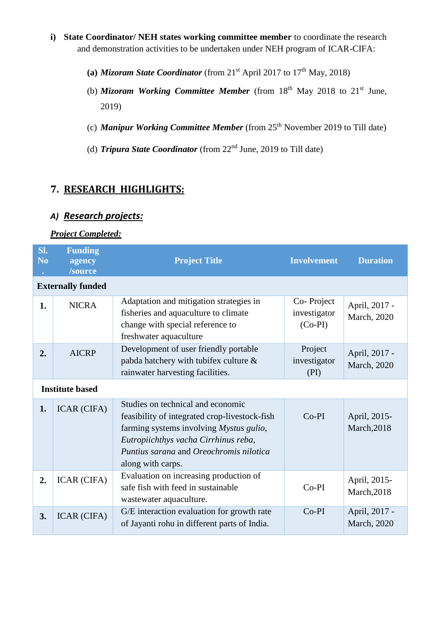- **i) State Coordinator/ NEH states working committee member** to coordinate the research and demonstration activities to be undertaken under NEH program of ICAR-CIFA:
	- (a) *Mizoram State Coordinator* (from  $21<sup>st</sup>$  April 2017 to  $17<sup>th</sup>$  May, 2018)
	- (b) *Mizoram Working Committee Member* (from 18<sup>th</sup> May 2018 to 21<sup>st</sup> June, 2019)
	- (c) *Manipur Working Committee Member* (from 25th November 2019 to Till date)
	- (d) *Tripura State Coordinator* (from 22nd June, 2019 to Till date)

# **7. RESEARCH HIGHLIGHTS:**

### *A) Research projects:*

#### *Project Completed:*

| SI.<br>N <sub>0</sub> | <b>Funding</b><br>agency<br>/source | <b>Project Title</b>                                                                                                                                                                                                                  | <b>Involvement</b>                      | <b>Duration</b>              |
|-----------------------|-------------------------------------|---------------------------------------------------------------------------------------------------------------------------------------------------------------------------------------------------------------------------------------|-----------------------------------------|------------------------------|
|                       | <b>Externally funded</b>            |                                                                                                                                                                                                                                       |                                         |                              |
| 1.                    | <b>NICRA</b>                        | Adaptation and mitigation strategies in<br>fisheries and aquaculture to climate<br>change with special reference to<br>freshwater aquaculture                                                                                         | Co-Project<br>investigator<br>$(Co-PI)$ | April, 2017 -<br>March, 2020 |
| 2.                    | <b>AICRP</b>                        | Development of user friendly portable<br>pabda hatchery with tubifex culture &<br>rainwater harvesting facilities.                                                                                                                    | Project<br>investigator<br>(PI)         | April, 2017 -<br>March, 2020 |
|                       | <b>Institute based</b>              |                                                                                                                                                                                                                                       |                                         |                              |
| 1.                    | <b>ICAR (CIFA)</b>                  | Studies on technical and economic<br>feasibility of integrated crop-livestock-fish<br>farming systems involving Mystus gulio,<br>Eutropiichthys vacha Cirrhinus reba,<br>Puntius sarana and Oreochromis nilotica<br>along with carps. | $Co-PI$                                 | April, 2015-<br>March, 2018  |
| 2.                    | <b>ICAR (CIFA)</b>                  | Evaluation on increasing production of<br>safe fish with feed in sustainable<br>wastewater aquaculture.                                                                                                                               | $Co-PI$                                 | April, 2015-<br>March, 2018  |
| 3.                    | <b>ICAR (CIFA)</b>                  | G/E interaction evaluation for growth rate<br>of Jayanti rohu in different parts of India.                                                                                                                                            | $Co-PI$                                 | April, 2017 -<br>March, 2020 |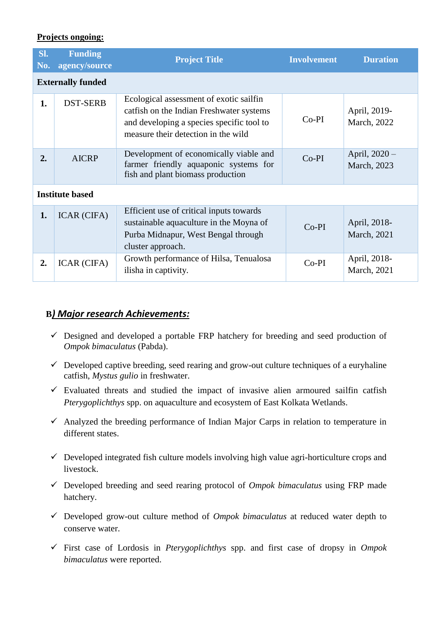#### **Projects ongoing:**

| SI.<br>No.             | <b>Funding</b><br>agency/source | <b>Project Title</b>                                                                                                                                                    | <b>Involvement</b> | <b>Duration</b>                     |
|------------------------|---------------------------------|-------------------------------------------------------------------------------------------------------------------------------------------------------------------------|--------------------|-------------------------------------|
|                        | <b>Externally funded</b>        |                                                                                                                                                                         |                    |                                     |
| 1.                     | <b>DST-SERB</b>                 | Ecological assessment of exotic sailfin<br>catfish on the Indian Freshwater systems<br>and developing a species specific tool to<br>measure their detection in the wild | $Co-PI$            | April, 2019-<br>March, 2022         |
| 2.                     | <b>AICRP</b>                    | Development of economically viable and<br>farmer friendly aquaponic systems for<br>fish and plant biomass production                                                    | $Co-PI$            | April, $2020 -$<br>March, 2023      |
| <b>Institute based</b> |                                 |                                                                                                                                                                         |                    |                                     |
| 1.                     | <b>ICAR (CIFA)</b>              | Efficient use of critical inputs towards<br>sustainable aquaculture in the Moyna of<br>Purba Midnapur, West Bengal through<br>cluster approach.                         | $Co-PI$            | April, 2018-<br><b>March</b> , 2021 |
| 2.                     | ICAR (CIFA)                     | Growth performance of Hilsa, Tenualosa<br>ilisha in captivity.                                                                                                          | $Co-PI$            | April, 2018-<br>March, 2021         |

#### **B***) Major research Achievements:*

- $\checkmark$  Designed and developed a portable FRP hatchery for breeding and seed production of *Ompok bimaculatus* (Pabda).
- $\checkmark$  Developed captive breeding, seed rearing and grow-out culture techniques of a euryhaline catfish, *Mystus gulio* in freshwater.
- $\checkmark$  Evaluated threats and studied the impact of invasive alien armoured sailfin catfish *Pterygoplichthys* spp. on aquaculture and ecosystem of East Kolkata Wetlands.
- $\checkmark$  Analyzed the breeding performance of Indian Major Carps in relation to temperature in different states.
- $\checkmark$  Developed integrated fish culture models involving high value agri-horticulture crops and livestock.
- Developed breeding and seed rearing protocol of *Ompok bimaculatus* using FRP made hatchery.
- Developed grow-out culture method of *Ompok bimaculatus* at reduced water depth to conserve water.
- First case of Lordosis in *Pterygoplichthys* spp. and first case of dropsy in *Ompok bimaculatus* were reported.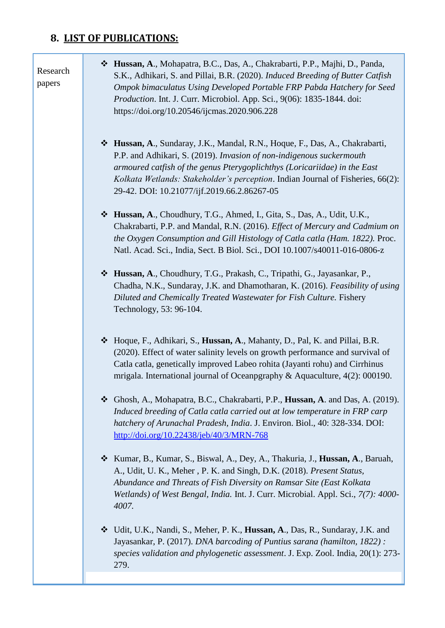# **8. LIST OF PUBLICATIONS:**

т

| Research<br>papers | * Hussan, A., Mohapatra, B.C., Das, A., Chakrabarti, P.P., Majhi, D., Panda,<br>S.K., Adhikari, S. and Pillai, B.R. (2020). Induced Breeding of Butter Catfish<br>Ompok bimaculatus Using Developed Portable FRP Pabda Hatchery for Seed<br>Production. Int. J. Curr. Microbiol. App. Sci., 9(06): 1835-1844. doi:<br>https://doi.org/10.20546/ijcmas.2020.906.228  |
|--------------------|---------------------------------------------------------------------------------------------------------------------------------------------------------------------------------------------------------------------------------------------------------------------------------------------------------------------------------------------------------------------|
|                    | * Hussan, A., Sundaray, J.K., Mandal, R.N., Hoque, F., Das, A., Chakrabarti,<br>P.P. and Adhikari, S. (2019). Invasion of non-indigenous suckermouth<br>armoured catfish of the genus Pterygoplichthys (Loricariidae) in the East<br>Kolkata Wetlands: Stakeholder's perception. Indian Journal of Fisheries, 66(2):<br>29-42. DOI: 10.21077/ijf.2019.66.2.86267-05 |
|                    | * Hussan, A., Choudhury, T.G., Ahmed, I., Gita, S., Das, A., Udit, U.K.,<br>Chakrabarti, P.P. and Mandal, R.N. (2016). Effect of Mercury and Cadmium on<br>the Oxygen Consumption and Gill Histology of Catla catla (Ham. 1822). Proc.<br>Natl. Acad. Sci., India, Sect. B Biol. Sci., DOI 10.1007/s40011-016-0806-z                                                |
|                    | * Hussan, A., Choudhury, T.G., Prakash, C., Tripathi, G., Jayasankar, P.,<br>Chadha, N.K., Sundaray, J.K. and Dhamotharan, K. (2016). Feasibility of using<br>Diluted and Chemically Treated Wastewater for Fish Culture. Fishery<br>Technology, 53: 96-104.                                                                                                        |
|                    | * Hoque, F., Adhikari, S., Hussan, A., Mahanty, D., Pal, K. and Pillai, B.R.<br>(2020). Effect of water salinity levels on growth performance and survival of<br>Catla catla, genetically improved Labeo rohita (Jayanti rohu) and Cirrhinus<br>mrigala. International journal of Oceanpgraphy & Aquaculture, 4(2): 000190.                                         |
|                    | Ghosh, A., Mohapatra, B.C., Chakrabarti, P.P., <b>Hussan, A</b> . and Das, A. (2019).<br>❖<br>Induced breeding of Catla catla carried out at low temperature in FRP carp<br>hatchery of Arunachal Pradesh, India. J. Environ. Biol., 40: 328-334. DOI:<br>http://doi.org/10.22438/jeb/40/3/MRN-768                                                                  |
|                    | Kumar, B., Kumar, S., Biswal, A., Dey, A., Thakuria, J., <b>Hussan, A.</b> , Baruah,<br>❖<br>A., Udit, U. K., Meher, P. K. and Singh, D.K. (2018). Present Status,<br>Abundance and Threats of Fish Diversity on Ramsar Site (East Kolkata<br>Wetlands) of West Bengal, India. Int. J. Curr. Microbial. Appl. Sci., 7(7): 4000-<br>4007.                            |
|                    | Udit, U.K., Nandi, S., Meher, P. K., Hussan, A., Das, R., Sundaray, J.K. and<br>❖<br>Jayasankar, P. (2017). DNA barcoding of Puntius sarana (hamilton, 1822):<br>species validation and phylogenetic assessment. J. Exp. Zool. India, 20(1): 273-<br>279.                                                                                                           |
|                    |                                                                                                                                                                                                                                                                                                                                                                     |